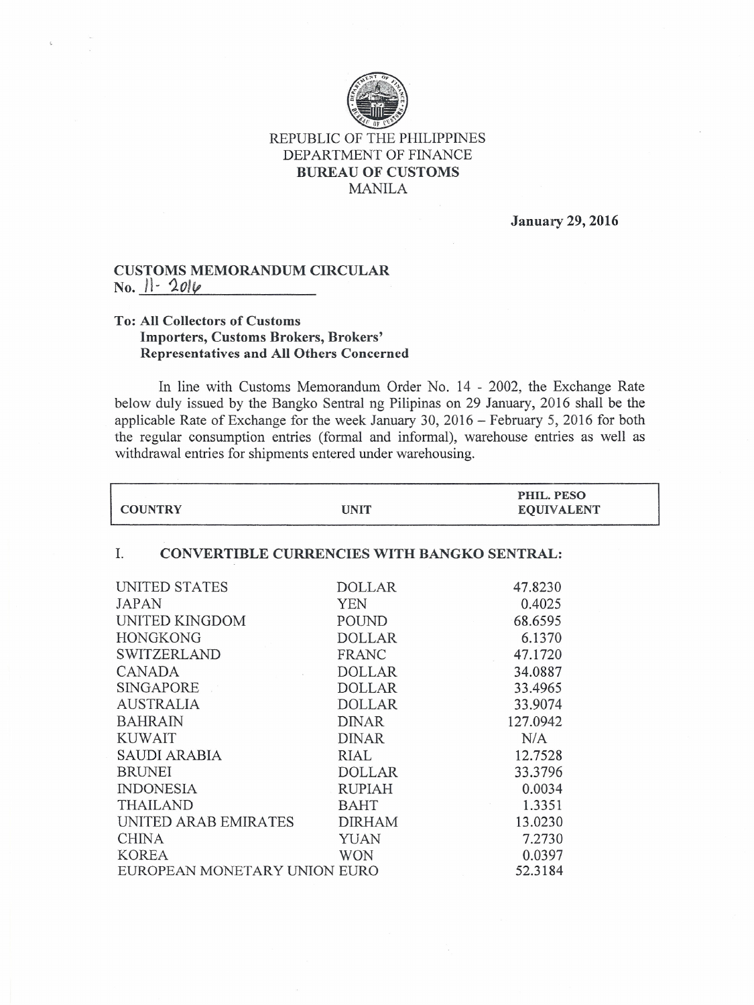

## REPUBLIC OF THE PHILIPPINES DEPARTMENT OF FINANCE **BUREAU OF CUSTOMS** MANILA

**January 29, 2016**

٦

## **CUSTOMS MEMORANDUM CIRCULAR No. 11-** *101ft*

## **To: All Collectors of Customs Importers, Customs Brokers, Brokers' Representatives and All Others Concerned**

In line with Customs Memorandum Order No. 14 - 2002, the Exchange Rate below duly issued by the Bangko Sentral ng Pilipinas on 29 January, 2016 shall be the applicable Rate of Exchange for the week January 30, 2016 - February 5, 2016 for both the regular consumption entries (formal and informal), warehouse entries as well as withdrawal entries for shipments entered under warehousing.

| <b>COUNTRY</b>                                           | <b>UNIT</b>   | PHIL. PESO<br><b>EQUIVALENT</b> |
|----------------------------------------------------------|---------------|---------------------------------|
| <b>CONVERTIBLE CURRENCIES WITH BANGKO SENTRAL:</b><br>Ι. |               |                                 |
| UNITED STATES                                            | <b>DOLLAR</b> | 47.8230                         |
| <b>JAPAN</b>                                             | <b>YEN</b>    | 0.4025                          |
| UNITED KINGDOM                                           | POUND         | 68.6595                         |
| <b>HONGKONG</b>                                          | <b>DOLLAR</b> | 6.1370                          |
| <b>SWITZERLAND</b>                                       | <b>FRANC</b>  | 47.1720                         |
| <b>CANADA</b>                                            | <b>DOLLAR</b> | 34.0887                         |
| SINGAPORE                                                | <b>DOLLAR</b> | 33.4965                         |
| <b>AUSTRALIA</b>                                         | <b>DOLLAR</b> | 33.9074                         |
| <b>BAHRAIN</b>                                           | <b>DINAR</b>  | 127.0942                        |
| <b>KUWAIT</b>                                            | <b>DINAR</b>  | N/A                             |
| <b>SAUDI ARABIA</b>                                      | RIAL          | 12.7528                         |
| <b>BRUNEI</b>                                            | <b>DOLLAR</b> | 33.3796                         |
| <b>INDONESIA</b>                                         | <b>RUPIAH</b> | 0.0034                          |
| <b>THAILAND</b>                                          | <b>BAHT</b>   | 1.3351                          |
| UNITED ARAB EMIRATES                                     | <b>DIRHAM</b> | 13.0230                         |
| <b>CHINA</b>                                             | <b>YUAN</b>   | 7.2730                          |
| <b>KOREA</b>                                             | <b>WON</b>    | 0.0397                          |
| EUROPEAN MONETARY UNION EURO                             |               | 52.3184                         |